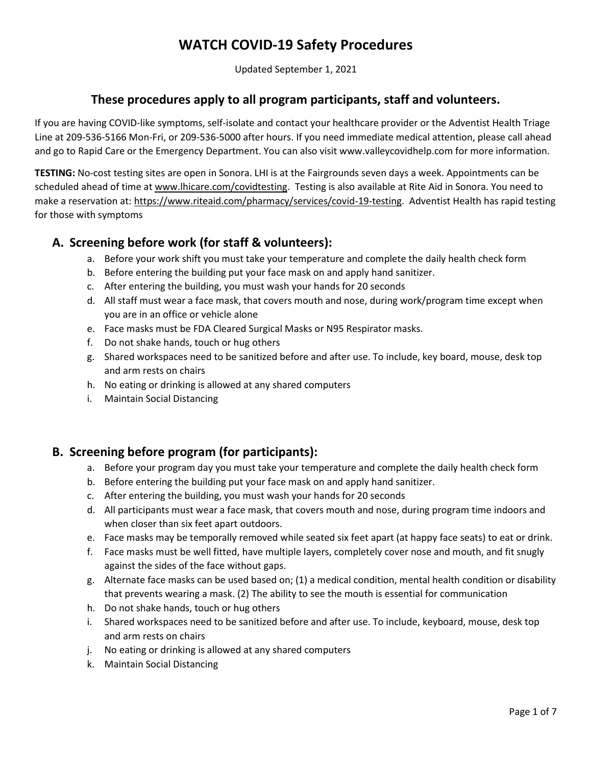Updated September 1, 2021

### **These procedures apply to all program participants, staff and volunteers.**

If you are having COVID-like symptoms, self-isolate and contact your healthcare provider or the Adventist Health Triage Line at 209-536-5166 Mon-Fri, or 209-536-5000 after hours. If you need immediate medical attention, please call ahead and go to Rapid Care or the Emergency Department. You can also visit www.valleycovidhelp.com for more information.

**TESTING:** No-cost testing sites are open in Sonora. LHI is at the Fairgrounds seven days a week. Appointments can be scheduled ahead of time at [www.lhicare.com/covidtesting.](http://www.lhicare.com/covidtesting) Testing is also available at Rite Aid in Sonora. You need to make a reservation at[: https://www.riteaid.com/pharmacy/services/covid-19-testing.](https://www.riteaid.com/pharmacy/services/covid-19-testing) Adventist Health has rapid testing for those with symptoms

## **A. Screening before work (for staff & volunteers):**

- a. Before your work shift you must take your temperature and complete the daily health check form
- b. Before entering the building put your face mask on and apply hand sanitizer.
- c. After entering the building, you must wash your hands for 20 seconds
- d. All staff must wear a face mask, that covers mouth and nose, during work/program time except when you are in an office or vehicle alone
- e. Face masks must be FDA Cleared Surgical Masks or N95 Respirator masks.
- f. Do not shake hands, touch or hug others
- g. Shared workspaces need to be sanitized before and after use. To include, key board, mouse, desk top and arm rests on chairs
- h. No eating or drinking is allowed at any shared computers
- i. Maintain Social Distancing

### **B. Screening before program (for participants):**

- a. Before your program day you must take your temperature and complete the daily health check form
- b. Before entering the building put your face mask on and apply hand sanitizer.
- c. After entering the building, you must wash your hands for 20 seconds
- d. All participants must wear a face mask, that covers mouth and nose, during program time indoors and when closer than six feet apart outdoors.
- e. Face masks may be temporally removed while seated six feet apart (at happy face seats) to eat or drink.
- f. Face masks must be well fitted, have multiple layers, completely cover nose and mouth, and fit snugly against the sides of the face without gaps.
- g. Alternate face masks can be used based on; (1) a medical condition, mental health condition or disability that prevents wearing a mask. (2) The ability to see the mouth is essential for communication
- h. Do not shake hands, touch or hug others
- i. Shared workspaces need to be sanitized before and after use. To include, keyboard, mouse, desk top and arm rests on chairs
- j. No eating or drinking is allowed at any shared computers
- k. Maintain Social Distancing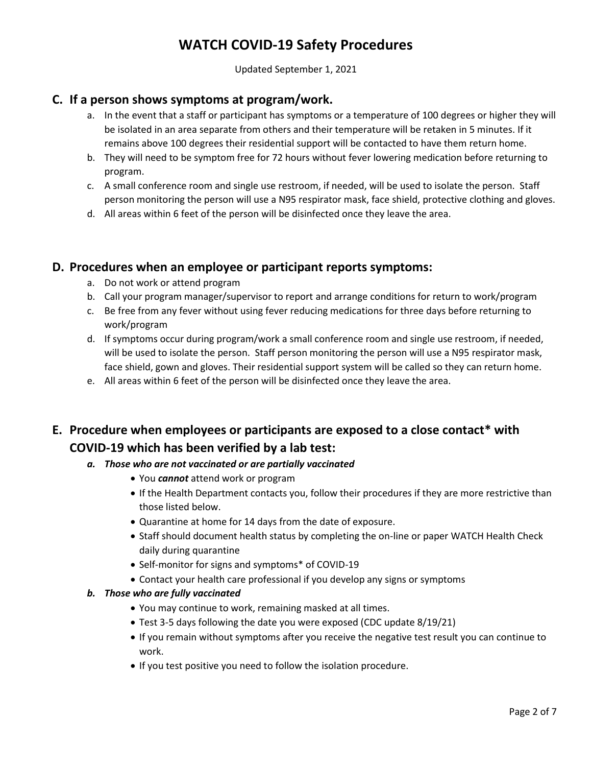Updated September 1, 2021

### **C. If a person shows symptoms at program/work.**

- a. In the event that a staff or participant has symptoms or a temperature of 100 degrees or higher they will be isolated in an area separate from others and their temperature will be retaken in 5 minutes. If it remains above 100 degrees their residential support will be contacted to have them return home.
- b. They will need to be symptom free for 72 hours without fever lowering medication before returning to program.
- c. A small conference room and single use restroom, if needed, will be used to isolate the person. Staff person monitoring the person will use a N95 respirator mask, face shield, protective clothing and gloves.
- d. All areas within 6 feet of the person will be disinfected once they leave the area.

#### **D. Procedures when an employee or participant reports symptoms:**

- a. Do not work or attend program
- b. Call your program manager/supervisor to report and arrange conditions for return to work/program
- c. Be free from any fever without using fever reducing medications for three days before returning to work/program
- d. If symptoms occur during program/work a small conference room and single use restroom, if needed, will be used to isolate the person. Staff person monitoring the person will use a N95 respirator mask, face shield, gown and gloves. Their residential support system will be called so they can return home.
- e. All areas within 6 feet of the person will be disinfected once they leave the area.

# **E. Procedure when employees or participants are exposed to a close contact\* with COVID-19 which has been verified by a lab test:**

- *a. Those who are not vaccinated or are partially vaccinated*
	- You *cannot* attend work or program
	- If the Health Department contacts you, follow their procedures if they are more restrictive than those listed below.
	- Quarantine at home for 14 days from the date of exposure.
	- Staff should document health status by completing the on-line or paper WATCH Health Check daily during quarantine
	- Self-monitor for signs and symptoms\* of COVID-19
	- Contact your health care professional if you develop any signs or symptoms

#### *b. Those who are fully vaccinated*

- You may continue to work, remaining masked at all times.
- Test 3-5 days following the date you were exposed (CDC update 8/19/21)
- If you remain without symptoms after you receive the negative test result you can continue to work.
- If you test positive you need to follow the isolation procedure.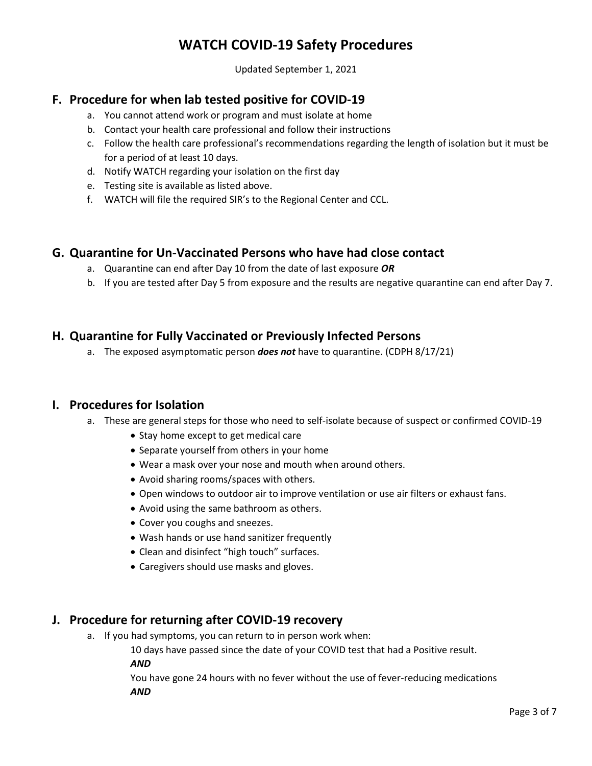Updated September 1, 2021

### **F. Procedure for when lab tested positive for COVID-19**

- a. You cannot attend work or program and must isolate at home
- b. Contact your health care professional and follow their instructions
- c. Follow the health care professional's recommendations regarding the length of isolation but it must be for a period of at least 10 days.
- d. Notify WATCH regarding your isolation on the first day
- e. Testing site is available as listed above.
- f. WATCH will file the required SIR's to the Regional Center and CCL.

#### **G. Quarantine for Un-Vaccinated Persons who have had close contact**

- a. Quarantine can end after Day 10 from the date of last exposure *OR*
- b. If you are tested after Day 5 from exposure and the results are negative quarantine can end after Day 7.

#### **H. Quarantine for Fully Vaccinated or Previously Infected Persons**

a. The exposed asymptomatic person *does not* have to quarantine. (CDPH 8/17/21)

#### **I. Procedures for Isolation**

- a. These are general steps for those who need to self-isolate because of suspect or confirmed COVID-19
	- Stay home except to get medical care
	- Separate yourself from others in your home
	- Wear a mask over your nose and mouth when around others.
	- Avoid sharing rooms/spaces with others.
	- Open windows to outdoor air to improve ventilation or use air filters or exhaust fans.
	- Avoid using the same bathroom as others.
	- Cover you coughs and sneezes.
	- Wash hands or use hand sanitizer frequently
	- Clean and disinfect "high touch" surfaces.
	- Caregivers should use masks and gloves.

#### **J. Procedure for returning after COVID-19 recovery**

a. If you had symptoms, you can return to in person work when:

10 days have passed since the date of your COVID test that had a Positive result.

*AND*

You have gone 24 hours with no fever without the use of fever-reducing medications *AND*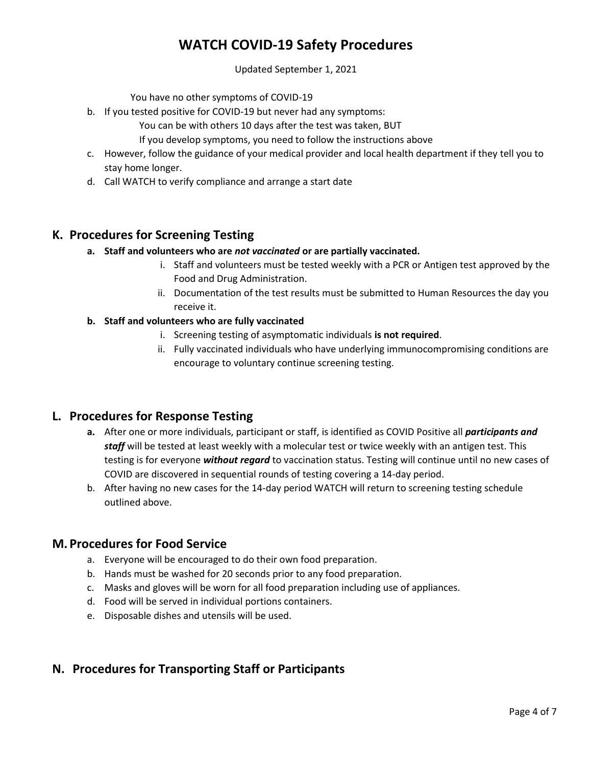Updated September 1, 2021

You have no other symptoms of COVID-19

- b. If you tested positive for COVID-19 but never had any symptoms:
	- You can be with others 10 days after the test was taken, BUT

If you develop symptoms, you need to follow the instructions above

- c. However, follow the guidance of your medical provider and local health department if they tell you to stay home longer.
- d. Call WATCH to verify compliance and arrange a start date

### **K. Procedures for Screening Testing**

- **a. Staff and volunteers who are** *not vaccinated* **or are partially vaccinated.**
	- i. Staff and volunteers must be tested weekly with a PCR or Antigen test approved by the Food and Drug Administration.
	- ii. Documentation of the test results must be submitted to Human Resources the day you receive it.

#### **b. Staff and volunteers who are fully vaccinated**

- i. Screening testing of asymptomatic individuals **is not required**.
- ii. Fully vaccinated individuals who have underlying immunocompromising conditions are encourage to voluntary continue screening testing.

#### **L. Procedures for Response Testing**

- **a.** After one or more individuals, participant or staff, is identified as COVID Positive all *participants and staff* will be tested at least weekly with a molecular test or twice weekly with an antigen test. This testing is for everyone *without regard* to vaccination status. Testing will continue until no new cases of COVID are discovered in sequential rounds of testing covering a 14-day period.
- b. After having no new cases for the 14-day period WATCH will return to screening testing schedule outlined above.

#### **M. Procedures for Food Service**

- a. Everyone will be encouraged to do their own food preparation.
- b. Hands must be washed for 20 seconds prior to any food preparation.
- c. Masks and gloves will be worn for all food preparation including use of appliances.
- d. Food will be served in individual portions containers.
- e. Disposable dishes and utensils will be used.

### **N. Procedures for Transporting Staff or Participants**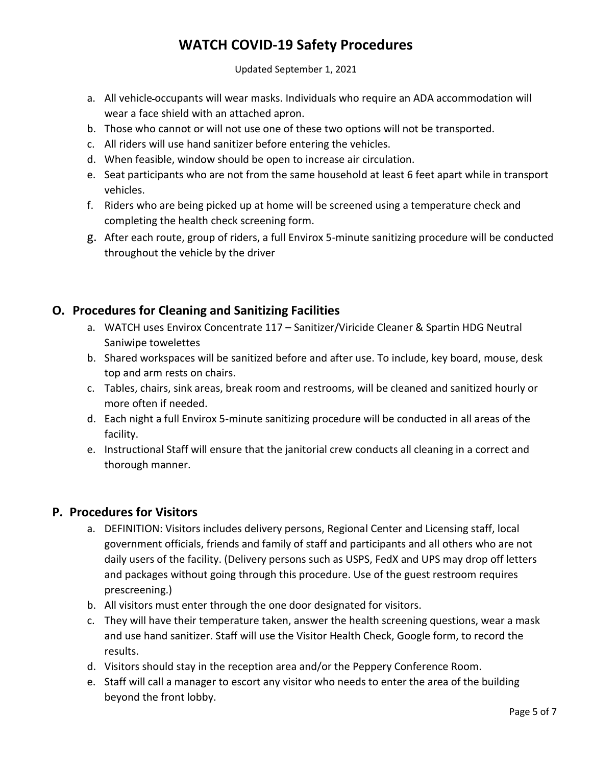Updated September 1, 2021

- a. All vehicle occupants will wear masks. Individuals who require an ADA accommodation will wear a face shield with an attached apron.
- b. Those who cannot or will not use one of these two options will not be transported.
- c. All riders will use hand sanitizer before entering the vehicles.
- d. When feasible, window should be open to increase air circulation.
- e. Seat participants who are not from the same household at least 6 feet apart while in transport vehicles.
- f. Riders who are being picked up at home will be screened using a temperature check and completing the health check screening form.
- g. After each route, group of riders, a full Envirox 5-minute sanitizing procedure will be conducted throughout the vehicle by the driver

## **O. Procedures for Cleaning and Sanitizing Facilities**

- a. WATCH uses Envirox Concentrate 117 Sanitizer/Viricide Cleaner & Spartin HDG Neutral Saniwipe towelettes
- b. Shared workspaces will be sanitized before and after use. To include, key board, mouse, desk top and arm rests on chairs.
- c. Tables, chairs, sink areas, break room and restrooms, will be cleaned and sanitized hourly or more often if needed.
- d. Each night a full Envirox 5-minute sanitizing procedure will be conducted in all areas of the facility.
- e. Instructional Staff will ensure that the janitorial crew conducts all cleaning in a correct and thorough manner.

### **P. Procedures for Visitors**

- a. DEFINITION: Visitors includes delivery persons, Regional Center and Licensing staff, local government officials, friends and family of staff and participants and all others who are not daily users of the facility. (Delivery persons such as USPS, FedX and UPS may drop off letters and packages without going through this procedure. Use of the guest restroom requires prescreening.)
- b. All visitors must enter through the one door designated for visitors.
- c. They will have their temperature taken, answer the health screening questions, wear a mask and use hand sanitizer. Staff will use the Visitor Health Check, Google form, to record the results.
- d. Visitors should stay in the reception area and/or the Peppery Conference Room.
- e. Staff will call a manager to escort any visitor who needs to enter the area of the building beyond the front lobby.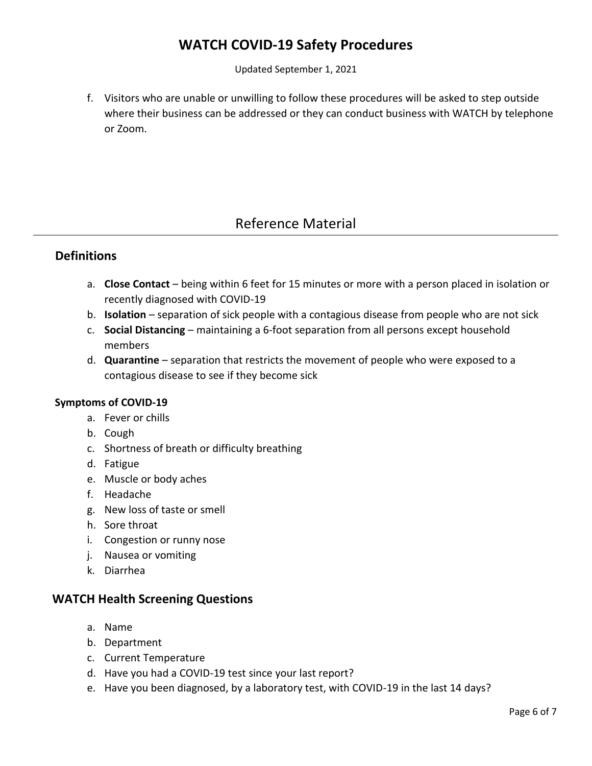Updated September 1, 2021

f. Visitors who are unable or unwilling to follow these procedures will be asked to step outside where their business can be addressed or they can conduct business with WATCH by telephone or Zoom.

# Reference Material

### **Definitions**

- a. **Close Contact** being within 6 feet for 15 minutes or more with a person placed in isolation or recently diagnosed with COVID-19
- b. **Isolation**  separation of sick people with a contagious disease from people who are not sick
- c. **Social Distancing** maintaining a 6-foot separation from all persons except household members
- d. **Quarantine** separation that restricts the movement of people who were exposed to a contagious disease to see if they become sick

#### **Symptoms of COVID-19**

- a. Fever or chills
- b. Cough
- c. Shortness of breath or difficulty breathing
- d. Fatigue
- e. Muscle or body aches
- f. Headache
- g. New loss of taste or smell
- h. Sore throat
- i. Congestion or runny nose
- j. Nausea or vomiting
- k. Diarrhea

## **WATCH Health Screening Questions**

- a. Name
- b. Department
- c. Current Temperature
- d. Have you had a COVID-19 test since your last report?
- e. Have you been diagnosed, by a laboratory test, with COVID-19 in the last 14 days?